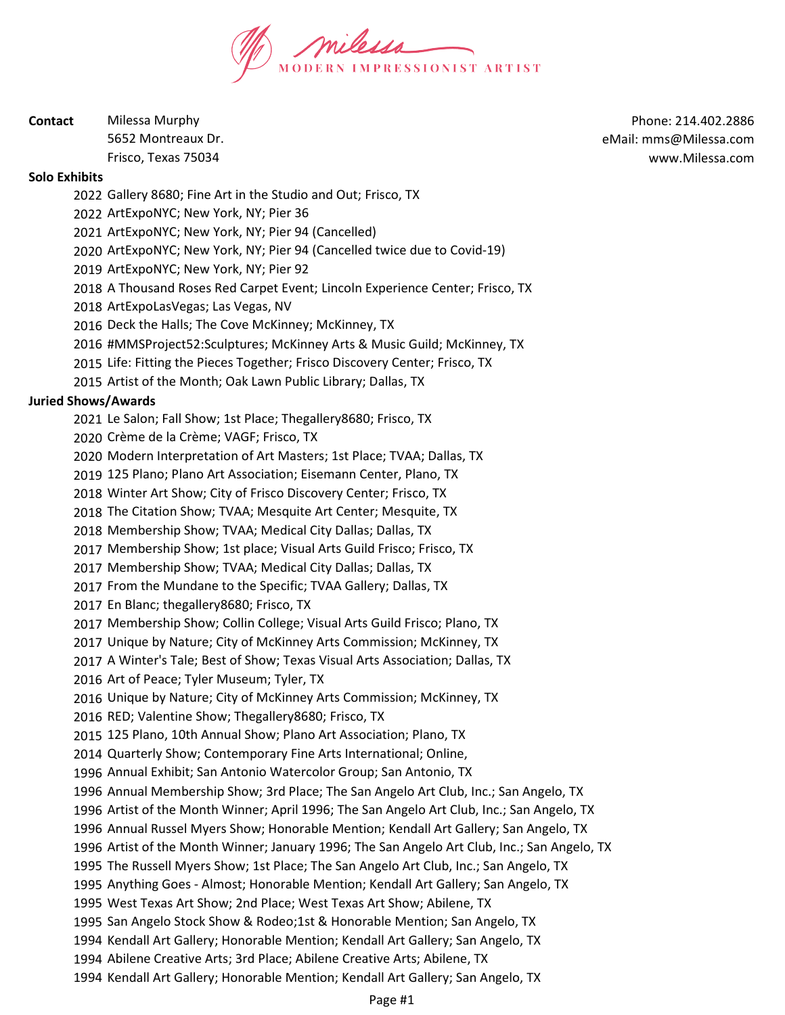

| Contact | Milessa Murphy      |
|---------|---------------------|
|         | 5652 Montreaux Dr.  |
|         | Frisco, Texas 75034 |

Phone: 214.402.2886 eMail: mms@Milessa.com www.Milessa.com

### Solo Exhibits

Gallery 8680; Fine Art in the Studio and Out; Frisco, TX

ArtExpoNYC; New York, NY; Pier 36

ArtExpoNYC; New York, NY; Pier 94 (Cancelled)

ArtExpoNYC; New York, NY; Pier 94 (Cancelled twice due to Covid-19)

ArtExpoNYC; New York, NY; Pier 92

A Thousand Roses Red Carpet Event; Lincoln Experience Center; Frisco, TX

ArtExpoLasVegas; Las Vegas, NV

Deck the Halls; The Cove McKinney; McKinney, TX

2016 #MMSProject52:Sculptures; McKinney Arts & Music Guild; McKinney, TX

Life: Fitting the Pieces Together; Frisco Discovery Center; Frisco, TX

Artist of the Month; Oak Lawn Public Library; Dallas, TX

## Juried Shows/Awards

Le Salon; Fall Show; 1st Place; Thegallery8680; Frisco, TX

Crème de la Crème; VAGF; Frisco, TX

Modern Interpretation of Art Masters; 1st Place; TVAA; Dallas, TX

125 Plano; Plano Art Association; Eisemann Center, Plano, TX

Winter Art Show; City of Frisco Discovery Center; Frisco, TX

The Citation Show; TVAA; Mesquite Art Center; Mesquite, TX

Membership Show; TVAA; Medical City Dallas; Dallas, TX

Membership Show; 1st place; Visual Arts Guild Frisco; Frisco, TX

Membership Show; TVAA; Medical City Dallas; Dallas, TX

From the Mundane to the Specific; TVAA Gallery; Dallas, TX

En Blanc; thegallery8680; Frisco, TX

Membership Show; Collin College; Visual Arts Guild Frisco; Plano, TX

Unique by Nature; City of McKinney Arts Commission; McKinney, TX

A Winter's Tale; Best of Show; Texas Visual Arts Association; Dallas, TX

Art of Peace; Tyler Museum; Tyler, TX

Unique by Nature; City of McKinney Arts Commission; McKinney, TX

RED; Valentine Show; Thegallery8680; Frisco, TX

125 Plano, 10th Annual Show; Plano Art Association; Plano, TX

Quarterly Show; Contemporary Fine Arts International; Online,

Annual Exhibit; San Antonio Watercolor Group; San Antonio, TX

Annual Membership Show; 3rd Place; The San Angelo Art Club, Inc.; San Angelo, TX

Artist of the Month Winner; April 1996; The San Angelo Art Club, Inc.; San Angelo, TX

Annual Russel Myers Show; Honorable Mention; Kendall Art Gallery; San Angelo, TX

Artist of the Month Winner; January 1996; The San Angelo Art Club, Inc.; San Angelo, TX

The Russell Myers Show; 1st Place; The San Angelo Art Club, Inc.; San Angelo, TX

Anything Goes - Almost; Honorable Mention; Kendall Art Gallery; San Angelo, TX

West Texas Art Show; 2nd Place; West Texas Art Show; Abilene, TX

San Angelo Stock Show & Rodeo;1st & Honorable Mention; San Angelo, TX

Kendall Art Gallery; Honorable Mention; Kendall Art Gallery; San Angelo, TX

Abilene Creative Arts; 3rd Place; Abilene Creative Arts; Abilene, TX

Kendall Art Gallery; Honorable Mention; Kendall Art Gallery; San Angelo, TX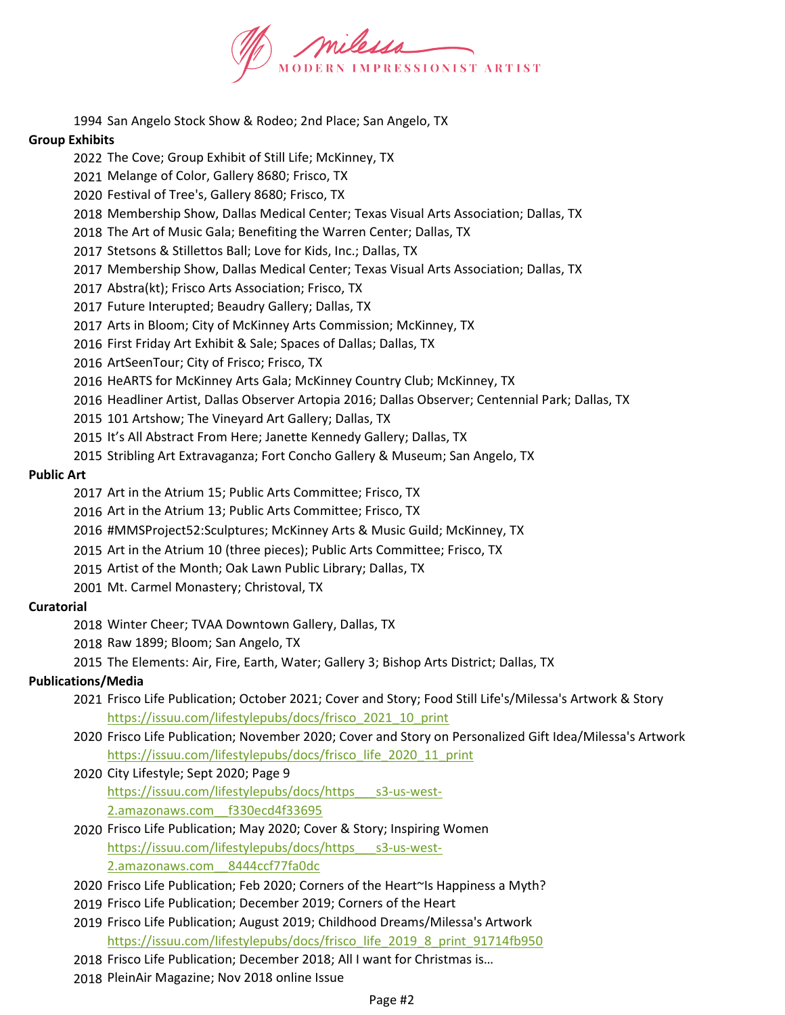

San Angelo Stock Show & Rodeo; 2nd Place; San Angelo, TX

## Group Exhibits

- The Cove; Group Exhibit of Still Life; McKinney, TX
- Melange of Color, Gallery 8680; Frisco, TX
- Festival of Tree's, Gallery 8680; Frisco, TX
- Membership Show, Dallas Medical Center; Texas Visual Arts Association; Dallas, TX
- The Art of Music Gala; Benefiting the Warren Center; Dallas, TX
- Stetsons & Stillettos Ball; Love for Kids, Inc.; Dallas, TX
- Membership Show, Dallas Medical Center; Texas Visual Arts Association; Dallas, TX
- Abstra(kt); Frisco Arts Association; Frisco, TX
- Future Interupted; Beaudry Gallery; Dallas, TX
- Arts in Bloom; City of McKinney Arts Commission; McKinney, TX
- First Friday Art Exhibit & Sale; Spaces of Dallas; Dallas, TX
- ArtSeenTour; City of Frisco; Frisco, TX
- HeARTS for McKinney Arts Gala; McKinney Country Club; McKinney, TX
- Headliner Artist, Dallas Observer Artopia 2016; Dallas Observer; Centennial Park; Dallas, TX
- 101 Artshow; The Vineyard Art Gallery; Dallas, TX
- It's All Abstract From Here; Janette Kennedy Gallery; Dallas, TX
- Stribling Art Extravaganza; Fort Concho Gallery & Museum; San Angelo, TX

## Public Art

- Art in the Atrium 15; Public Arts Committee; Frisco, TX
- Art in the Atrium 13; Public Arts Committee; Frisco, TX
- 2016 #MMSProject52:Sculptures; McKinney Arts & Music Guild; McKinney, TX
- Art in the Atrium 10 (three pieces); Public Arts Committee; Frisco, TX
- Artist of the Month; Oak Lawn Public Library; Dallas, TX
- Mt. Carmel Monastery; Christoval, TX

# **Curatorial**

- Winter Cheer; TVAA Downtown Gallery, Dallas, TX
- Raw 1899; Bloom; San Angelo, TX
- The Elements: Air, Fire, Earth, Water; Gallery 3; Bishop Arts District; Dallas, TX

# Publications/Media

- Frisco Life Publication; October 2021; Cover and Story; Food Still Life's/Milessa's Artwork & Story https://issuu.com/lifestylepubs/docs/frisco\_2021\_10\_print
- Frisco Life Publication; November 2020; Cover and Story on Personalized Gift Idea/Milessa's Artwork https://issuu.com/lifestylepubs/docs/frisco\_life\_2020\_11\_print
- City Lifestyle; Sept 2020; Page 9 https://issuu.com/lifestylepubs/docs/https\_\_\_s3-us-west-2.amazonaws.com\_\_f330ecd4f33695
- Frisco Life Publication; May 2020; Cover & Story; Inspiring Women https://issuu.com/lifestylepubs/docs/https\_\_\_s3-us-west-2.amazonaws.com\_\_8444ccf77fa0dc
- Frisco Life Publication; Feb 2020; Corners of the Heart~Is Happiness a Myth?
- Frisco Life Publication; December 2019; Corners of the Heart
- Frisco Life Publication; August 2019; Childhood Dreams/Milessa's Artwork https://issuu.com/lifestylepubs/docs/frisco\_life\_2019\_8\_print\_91714fb950
- Frisco Life Publication; December 2018; All I want for Christmas is…
- PleinAir Magazine; Nov 2018 online Issue